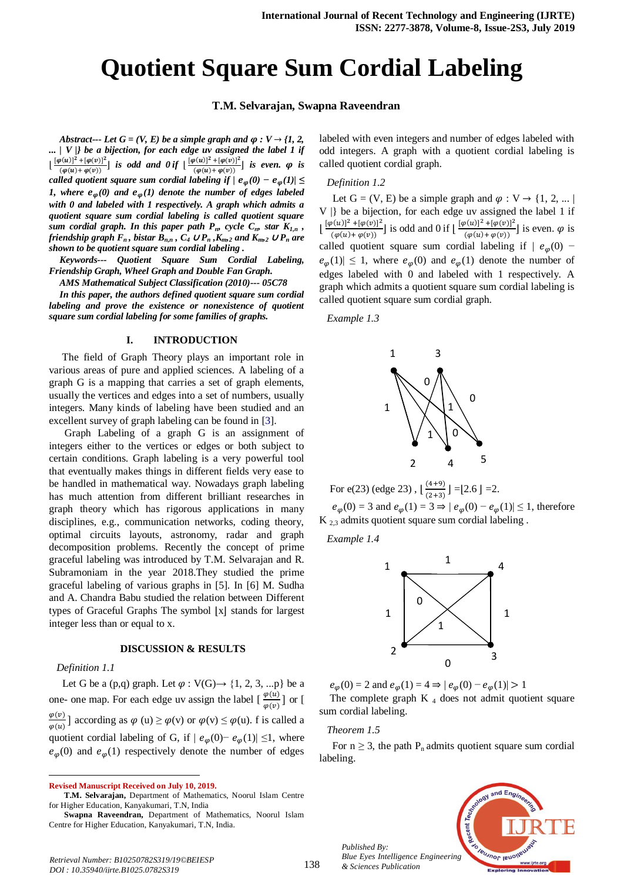# **Quotient Square Sum Cordial Labeling**

## **T.M. Selvarajan, Swapna Raveendran**

*Abstract--- Let*  $G = (V, E)$  *be a simple graph and*  $\varphi : V \rightarrow \{1, 2, \ldots\}$ *... | V |} be a bijection, for each edge uv assigned the label 1 if*  $\frac{[\varphi(u)]^2 + [\varphi(v)]^2}{\langle v(x), v(x)\rangle}$  $\frac{\rho(u)^2 + [\varphi(v)]^2}{(\varphi(u) + \varphi(v))}$  *is odd and 0 if*  $\frac{[\varphi(u)]^2 + [\varphi(v)]^2}{(\varphi(u) + \varphi(v))}$  $\frac{\varphi(u) + \varphi(v)}{(\varphi(u) + \varphi(v))}$  *is even.*  $\varphi$  *is called quotient square sum cordial labeling if*  $/$  $e_{\varphi}(0) - e_{\varphi}(1)/ \leq$ *1, where*  $e_{\varphi}(0)$  and  $e_{\varphi}(1)$  denote the number of edges labeled *with 0 and labeled with 1 respectively. A graph which admits a quotient square sum cordial labeling is called quotient square sum cordial graph. In this paper path P<sub>n</sub>, cycle C<sub>n</sub>, star*  $K_{1,n}$ *, friendship graph*  $F_n$ , *bistar*  $B_{n,n}$ ,  $C_4 \cup P_n$ ,  $K_{m2}$  *and*  $K_{m2} \cup P_n$  *are shown to be quotient square sum cordial labeling .*

*Keywords--- Quotient Square Sum Cordial Labeling, Friendship Graph, Wheel Graph and Double Fan Graph.*

*AMS Mathematical Subject Classification (2010)--- 05C78*

*In this paper, the authors defined quotient square sum cordial labeling and prove the existence or nonexistence of quotient square sum cordial labeling for some families of graphs.*

#### **I. INTRODUCTION**

The field of Graph Theory plays an important role in various areas of pure and applied sciences. A labeling of a graph G is a mapping that carries a set of graph elements, usually the vertices and edges into a set of numbers, usually integers. Many kinds of labeling have been studied and an excellent survey of graph labeling can be found in [3].

 Graph Labeling of a graph G is an assignment of integers either to the vertices or edges or both subject to certain conditions. Graph labeling is a very powerful tool that eventually makes things in different fields very ease to be handled in mathematical way. Nowadays graph labeling has much attention from different brilliant researches in graph theory which has rigorous applications in many disciplines, e.g., communication networks, coding theory, optimal circuits layouts, astronomy, radar and graph decomposition problems. Recently the concept of prime graceful labeling was introduced by T.M. Selvarajan and R. Subramoniam in the year 2018.They studied the prime graceful labeling of various graphs in [5]. In [6] M. Sudha and A. Chandra Babu studied the relation between Different types of Graceful Graphs The symbol  $|x|$  stands for largest integer less than or equal to x.

#### **DISCUSSION & RESULTS**

#### *Definition 1.1*

 $\overline{a}$ 

Let G be a (p,q) graph. Let  $\varphi : V(G) \rightarrow \{1, 2, 3, ...\}$  be a one- one map. For each edge uv assign the label  $\left[\frac{\varphi(u)}{\varphi(v)}\right]$  or [  $\varphi$  $\frac{\varphi(v)}{\varphi(u)}$ ] according as  $\varphi(u) \ge \varphi(v)$  or  $\varphi(v) \le \varphi(u)$ . f is called a quotient cordial labeling of G, if  $|e_{\varphi}(0) - e_{\varphi}(1)| \leq 1$ , where  $e_{\varphi}(0)$  and  $e_{\varphi}(1)$  respectively denote the number of edges

labeled with even integers and number of edges labeled with odd integers. A graph with a quotient cordial labeling is called quotient cordial graph.

#### *Definition 1.2*

Let  $G = (V, E)$  be a simple graph and  $\varphi : V \rightarrow \{1, 2, ... \}$ V |} be a bijection, for each edge uv assigned the label 1 if  $\left[\frac{[\varphi(u)]^2 + [\varphi(v)]^2}{\varphi(u) + \varphi(v)}\right]$  $\frac{[\varphi(u)]^2 + [\varphi(v)]^2}{[\varphi(u) + \varphi(v)]^2}$  is odd and 0 if  $\left[ \frac{[\varphi(u)]^2 + [\varphi(v)]^2}{(\varphi(u) + \varphi(v))} \right]$  $\frac{\varphi(u)}{(\varphi(u)+\varphi(v))}$  is even.  $\varphi$  is called quotient square sum cordial labeling if  $|e_{\omega}(0)$  $e_{\varphi}(1) \leq 1$ , where  $e_{\varphi}(0)$  and  $e_{\varphi}(1)$  denote the number of edges labeled with 0 and labeled with 1 respectively. A graph which admits a quotient square sum cordial labeling is called quotient square sum cordial graph.

*Example 1.3*



For e(23) (edge 23),  $\lfloor \frac{6}{5} \rfloor$  $\frac{(4+3)}{(2+3)}$  J = [2.6 J = 2.  $e_{\varphi}(0) = 3$  and  $e_{\varphi}(1) = 3 \Rightarrow | e_{\varphi}(0) - e_{\varphi}(1) | \le 1$ , therefore K 2,3 admits quotient square sum cordial labeling .

*Example 1.4*



 $e_{\omega}(0) = 2$  and  $e_{\omega}(1) = 4 \Rightarrow | e_{\omega}(0) - e_{\omega}(1) | > 1$ 

The complete graph  $K_4$  does not admit quotient square sum cordial labeling.

# *Theorem 1.5*

For  $n \geq 3$ , the path P<sub>n</sub> admits quotient square sum cordial labeling.



*Published By: Blue Eyes Intelligence Engineering & Sciences Publication* 

**Revised Manuscript Received on July 10, 2019.**

**T.M. Selvarajan,** Department of Mathematics, Noorul Islam Centre for Higher Education, Kanyakumari, T.N, India

**Swapna Raveendran,** Department of Mathematics, Noorul Islam Centre for Higher Education, Kanyakumari, T.N, India.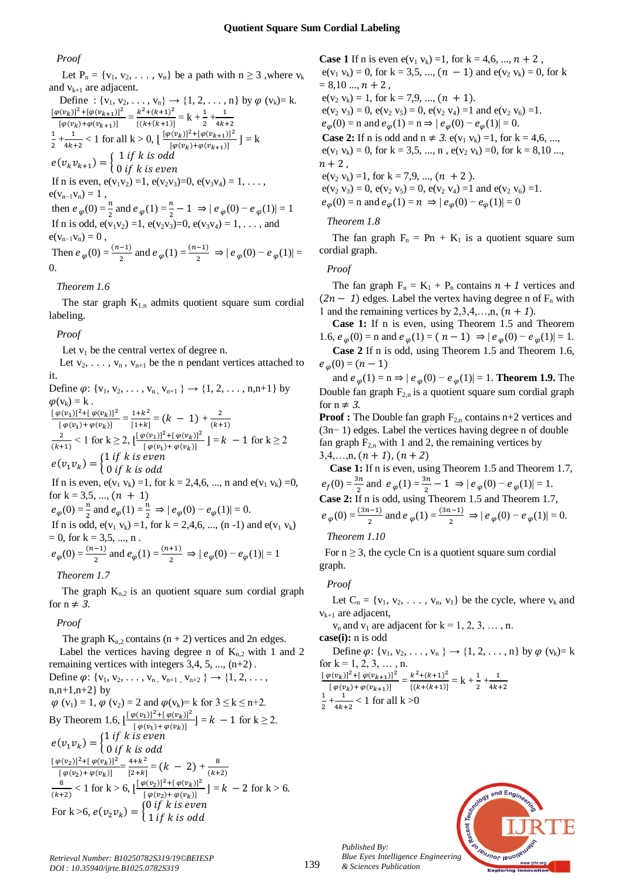## *Proof*

Let  $P_n = \{v_1, v_2, \ldots, v_n\}$  be a path with  $n \geq 3$ , where  $v_k$ and  $v_{k+1}$  are adjacent. Define : { $v_1, v_2, ..., v_n$ }  $\to$  {1, 2, ..., n} by  $\varphi$  ( $v_k$ )= k.  $[\varphi(v_k)]^2 + [\varphi(v_{k+1})]^2$  $\frac{[(v_k)]^2 + [\varphi(v_{k+1})]^2}{[\varphi(v_k) + \varphi(v_{k+1})]} = \frac{k^2 + (k+1)^2}{\{(k + (k+1))\}}$  $\frac{k^2 + (k+1)^2}{\{(k+(k+1))\}} = k + \frac{1}{2} + \frac{1}{4k}$ 4  $\mathbf{1}$  $\frac{1}{2} + \frac{1}{4k}$  $\frac{1}{4k+2}$  < 1 for all  $k > 0$ ,  $\left[ \frac{[\varphi(v_k)]^2 + [\varphi(v_{k+1})]^2}{[\varphi(v_k) + \varphi(v_{k+1})]} \right]$  $\frac{\left[\left(v_k\right)\right] + \left[\varphi\left(v_{k+1}\right)\right]}{\left[\varphi(v_k) + \varphi\left(v_{k+1}\right)\right]} = k$  $e(v_k v_{k+1}) = \begin{cases} 1 \\ 0 \end{cases}$ 

 $\boldsymbol{0}$ If n is even,  $e(v_1v_2) = 1$ ,  $e(v_2v_3) = 0$ ,  $e(v_3v_4) = 1, \ldots$  $e(v_{n-1}v_n) = 1$ , then  $e_{\varphi}(0) = \frac{\pi}{2}$  and  $e_{\varphi}(1) = \frac{\pi}{2} - 1 \Rightarrow |e_{\varphi}(0) - e_{\varphi}(1)| = 1$ If n is odd,  $e(v_1v_2) = 1$ ,  $e(v_2v_3) = 0$ ,  $e(v_3v_4) = 1, \ldots$ , and  $e(v_{n-1}v_n) = 0$ , Then  $e_{\varphi}(0) = \frac{(n-1)}{2}$  and  $e_{\varphi}(1) = \frac{(n-1)}{2} \Rightarrow |e_{\varphi}(0) - e_{\varphi}(1)| =$ 0.

# *Theorem 1.6*

The star graph  $K_{1,n}$  admits quotient square sum cordial labeling.

#### *Proof*

Let  $v_1$  be the central vertex of degree n.

Let  $v_2, \ldots, v_n, v_{n+1}$  be the n pendant vertices attached to it.

Define  $\varphi$ : { $v_1, v_2, \ldots, v_{n}$ ,  $v_{n+1}$ }  $\rightarrow$  {1, 2, ..., n,n+1} by  $\varphi(v_k) = k$ .  $[\varphi(v_1)]^2 + [\varphi(v_k)]^2$  $\frac{p(v_1)^2 + [ \varphi(v_k) ]^2}{[ \varphi(v_1) + \varphi(v_k) ]} = \frac{1 + k^2}{[1 + k]}$  $\frac{1+k^2}{[1+k]} = (k - 1) + \frac{2}{(k+k+1)}$ (  $\overline{\mathbf{c}}$  $\frac{2}{(k+1)}$  < 1 for  $k \ge 2$ ,  $\left[\frac{\left[\varphi(v_1)\right]^2 + \left[\varphi(v_k)\right]^2}{\left[\varphi(v_1) + \varphi(v_k)\right]} \right]$  $\left[\frac{\varphi(v_1)}{\varphi(v_1)+\varphi(v_k)}\right] = k - 1$  for  $k \ge 2$  $e(v_1v_k) = \begin{cases} 1 \\ 0 \end{cases}$  $\boldsymbol{0}$ If n is even,  $e(v_1 v_k) = 1$ , for  $k = 2, 4, 6, ..., n$  and  $e(v_1 v_k) = 0$ , for  $k = 3,5, ..., (n + 1)$  $e_{\varphi}(0) = \frac{\pi}{2}$  and  $e_{\varphi}(1) = \frac{\pi}{2} \Rightarrow |e_{\varphi}(0) - e_{\varphi}(1)| = 0.$ If n is odd,  $e(v_1 v_k) = 1$ , for  $k = 2, 4, 6, ..., (n-1)$  and  $e(v_1 v_k)$  $= 0$ , for  $k = 3, 5, ..., n$ .  $e_{\varphi}(0) = \frac{(n-1)}{2}$  and  $e_{\varphi}(1) = \frac{(n+1)}{2} \Rightarrow |e_{\varphi}(0) - e_{\varphi}(1)| = 1$ 

#### *Theorem 1.7*

The graph  $K_{n,2}$  is an quotient square sum cordial graph for  $n \neq 3$ .

# *Proof*

The graph  $K_{n,2}$  contains  $(n + 2)$  vertices and 2n edges. Label the vertices having degree n of  $K_{n,2}$  with 1 and 2 remaining vertices with integers 3,4, 5, ..., (n+2) .

Define 
$$
\varphi
$$
: {v<sub>1</sub>, v<sub>2</sub>,..., v<sub>n</sub>, v<sub>n+1</sub>, v<sub>n+2</sub>}  $\rightarrow$  {1, 2,...,  
n,n+1,n+2} by  
\n $\varphi$  (v<sub>1</sub>) = 1,  $\varphi$  (v<sub>2</sub>) = 2 and  $\varphi$ (v<sub>k</sub>)= k for 3  $\leq$  k  $\leq$  n+2.  
\nBy Theorem 1.6,  $\frac{[\varphi(v_1)]^2 + [\varphi(v_k)]^2}{[\varphi(v_1) + \varphi(v_k)]}$  = k - 1 for k  $\geq$  2.  
\n $e(v_1v_k) = \begin{cases} 1 \text{ if } k \text{ is even} \\ 0 \text{ if } k \text{ is odd} \end{cases}$   
\n $\frac{[\varphi(v_2)]^2 + [\varphi(v_k)]^2}{[\varphi(v_2) + \varphi(v_k)]}$  =  $\frac{4+k^2}{[2+k]} = (k - 2) + \frac{8}{(k+2)}$   
\n $\frac{8}{(k+2)} < 1$  for k > 6,  $\frac{[\varphi(v_2)]^2 + [\varphi(v_k)]^2}{[\varphi(v_2) + \varphi(v_k)]}$  = k - 2 for k > 6.  
\nFor k > 6,  $e(v_2v_k) = \begin{cases} 0 \text{ if } k \text{ is even} \\ 1 \text{ if } k \text{ is odd} \end{cases}$ 

**Case 1** If n is even  $e(v_1 v_k) = 1$ , for  $k = 4,6, ..., n + 2$ ,  $e(v_1 v_k) = 0$ , for  $k = 3,5, ..., (n - 1)$  and  $e(v_2 v_k) = 0$ , for k  $= 8,10...$ ,  $n + 2$ ,  $e(v_2 v_k) = 1$ , for  $k = 7,9, ..., (n + 1)$ .  $e(v_2 v_3) = 0$ ,  $e(v_2 v_5) = 0$ ,  $e(v_2 v_4) = 1$  and  $e(v_2 v_6) = 1$ .  $e_{\varphi}(0) = n$  and  $e_{\varphi}(1) = n \Rightarrow | e_{\varphi}(0) - e_{\varphi}(1) | = 0.$ **Case 2:** If n is odd and  $n \neq 3$ .  $e(v_1 \ v_k) = 1$ , for  $k = 4,6, ...$ ,  $e(v_1 v_k) = 0$ , for  $k = 3,5, ..., n$ ,  $e(v_2 v_k) = 0$ , for  $k = 8,10 ...,$  $n+2$ ,  $e(v_2 v_k) = 1$ , for  $k = 7, 9, ..., (n + 2)$ .  $e(v_2 v_3) = 0$ ,  $e(v_2 v_5) = 0$ ,  $e(v_2 v_4) = 1$  and  $e(v_2 v_6) = 1$ .  $e_{\omega}(0) = n$  and  $e_{\omega}(1) = n \Rightarrow |e_{\omega}(0) - e_{\omega}(1)| = 0$ 

#### *Theorem 1.8*

The fan graph  $F_n = Pn + K_1$  is a quotient square sum cordial graph.

#### *Proof*

The fan graph  $F_n = K_1 + P_n$  contains  $n + 1$  vertices and  $(2n - 1)$  edges. Label the vertex having degree n of F<sub>n</sub> with 1 and the remaining vertices by 2,3,4,...,n,  $(n + 1)$ .

**Case 1:** If n is even, using Theorem 1.5 and Theorem 1.6,  $e_{\varphi}(0) = n$  and  $e_{\varphi}(1) = (n - 1) \Rightarrow |e_{\varphi}(0) - e_{\varphi}(1)| = 1$ . **Case 2** If n is odd, using Theorem 1.5 and Theorem 1.6,  $e_{\omega}(0) = (n-1)$ 

and  $e_{\varphi}(1) = n$  ⇒  $| e_{\varphi}(0) - e_{\varphi}(1) | = 1$ . **Theorem 1.9.** The Double fan graph  $F_{2,n}$  is a quotient square sum cordial graph for  $n \neq 3$ .

**Proof :** The Double fan graph  $F_{2,n}$  contains  $n+2$  vertices and (3n− 1) edges. Label the vertices having degree n of double fan graph  $F_{2n}$  with 1 and 2, the remaining vertices by  $3,4,...,n, (n + 1), (n + 2)$ 

**Case 1:** If n is even, using Theorem 1.5 and Theorem 1.7,  $e_f(0) = \frac{3\pi}{2}$  and  $e_{\varphi}(1) = \frac{3\pi}{2} - 1 \Rightarrow |e_{\varphi}(0) - e_{\varphi}(1)| = 1.$ **Case 2:** If n is odd, using Theorem 1.5 and Theorem 1.7,  $e_{\varphi}(0) = \frac{(3n-1)}{2}$  and  $e_{\varphi}(1) = \frac{(3n-1)}{2} \Rightarrow |e_{\varphi}(0) - e_{\varphi}(1)| = 0.$ 

#### *Theorem 1.10*

For  $n \geq 3$ , the cycle Cn is a quotient square sum cordial graph.

#### *Proof*

Let  $C_n = \{v_1, v_2, \ldots, v_n, v_1\}$  be the cycle, where  $v_k$  and  $v_{k+1}$  are adjacent,

 $v_n$  and  $v_1$  are adjacent for  $k = 1, 2, 3, \ldots, n$ . **case(i):** n is odd

Define 
$$
\varphi: \{v_1, v_2, ..., v_n\} \to \{1, 2, ..., n\}
$$
 by  $\varphi(v_k) = k$   
for  $k = 1, 2, 3, ..., n$ .

$$
\frac{\left[\varphi(v_k)\right]^2 + \left[\varphi(v_{k+1})\right]^2}{\left[\varphi(v_k) + \varphi(v_{k+1})\right]} = \frac{k^2 + (k+1)^2}{\left\{(k + (k+1)\right\}} = k + \frac{1}{2} + \frac{1}{4k+2}
$$
  

$$
\frac{1}{2} + \frac{1}{4k+2} < 1 \text{ for all } k > 0
$$



*Published By:*

*& Sciences Publication*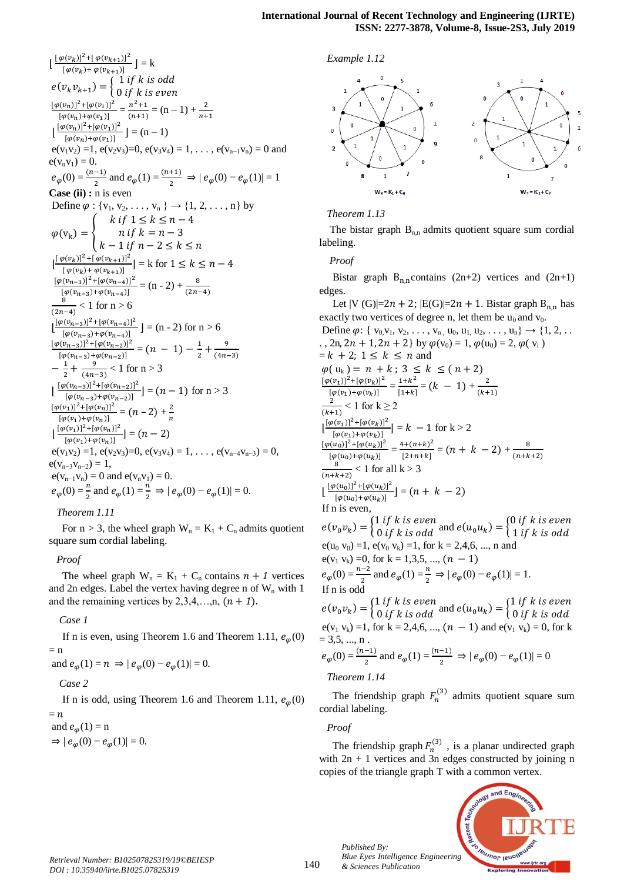$\left[\frac{\left[\varphi(v_k)\right]^2 + \left[\varphi(v_{k+1})\right]^2}{\left[\varphi(v_{k+1}) + \varphi(v_{k+1})\right]^2}\right]$  $\frac{\rho(v_{k}) - \rho(v_{k+1})}{\left[\varphi(v_{k}) + \varphi(v_{k+1})\right]} = k$  $e(v_k v_{k+1}) = \begin{cases} 1 \\ 0 \end{cases}$  $\boldsymbol{0}$  $[\varphi(v_n)]^2 + [\varphi(v_1)]^2$  $\frac{p(v_n)]^2 + [\varphi(v_1)]^2}{[\varphi(v_n) + \varphi(v_1)]} = \frac{n^2}{(n+1)!}$  $\frac{n^2+1}{(n+1)} = (n-1) + \frac{2}{n+1}$  $\left[\frac{[\varphi(v_n)]^2 + [\varphi(v_1)]^2}{[\varphi(u_n) + \varphi(u_n)]}\right]$  $\frac{(\nu_{n})^{\dagger} + (\nu_{n})^{\dagger}}{[\varphi(\nu_{n}) + \varphi(\nu_{1})]} = (n-1)$  $e(v_1v_2) = 1$ ,  $e(v_2v_3) = 0$ ,  $e(v_3v_4) = 1, \ldots$ ,  $e(v_{n-1}v_n) = 0$  and  $e(v_n v_1) = 0.$  $e_{\varphi}(0) = \frac{(n-1)}{2}$  and  $e_{\varphi}(1) = \frac{(n+1)}{2} \Rightarrow |e_{\varphi}(0) - e_{\varphi}(1)| = 1$ **Case (ii) :** n is even Define  $\varphi : \{v_1, v_2, \ldots, v_n\} \to \{1, 2, \ldots, n\}$  by  $\varphi(v_{k})$  $\boldsymbol{k}$  $\boldsymbol{n}$  $\boldsymbol{k}$  $\left[\frac{[\varphi(v_k)]^2 + [\varphi(v_{k+1})]^2}{[g(u_k) + g(u_k)]^2}\right]$  $\frac{\rho(v_{k}) - \Gamma(\varphi(v_{k+1}))}{[\varphi(v_{k}) + \varphi(v_{k+1})]} = k$  for  $\frac{[\varphi(v_{n-3})]^2 + [\varphi(v_{n-4})]^2}{[n(n-1) + n(n-1)]^2}$ I  $\frac{[\varphi(n_{n-3})]^{-1}[\varphi(\nu_{n-4})]}{[\varphi(\nu_{n-3})+\varphi(\nu_{n-4})]} = (n-2) + \frac{[\varphi(n_{n-3})]}{8}$  $(2n-4)$  $\frac{1}{2}$  < 1 for n > 6  $\left[\frac{[\varphi(v_{n-3})]^2 + [\varphi(v_{n-4})]^2}{[\varphi(v_{n-1}) + \varphi(v_{n-1})]^2}\right]$  $\frac{(\nu_{n-3})_1 + (\nu(\nu_{n-4})_1)}{[\varphi(\nu_{n-3}) + \varphi(\nu_{n-4})]} = (n-2) \text{ for } n > 6$  $[\varphi(v_{n-3})]^2 + [\varphi(v_{n-2})]^2$  $\frac{[(v_{n-3})]^2 + [\varphi(v_{n-2})]^2}{[\varphi(v_{n-3}) + \varphi(v_{n-2})]} = (n-1) - \frac{1}{2}$  $rac{1}{2} + \frac{9}{(4n)}$ (  $-\frac{1}{2}$  $rac{1}{2} + \frac{9}{(4n)}$  $\frac{9}{(4n-3)}$  < 1 for n > 3  $\left[\frac{[\varphi(v_{n-3})]^2 + [\varphi(v_{n-2})]^2}{[e^{(n-1)} + e^{(n-1)}]} \right]$  $\frac{(\nu_{n-3})_1 + (\nu_{n-2})_1}{[\varphi(\nu_{n-3}) + \varphi(\nu_{n-2})]} = (n-1)$  for n > 3  $[\varphi(v_1)]^2 + [\varphi(v_n)]^2$  $\frac{[(v_1)]^2 + [\varphi(v_n)]^2}{[\varphi(v_1) + \varphi(v_n)]} = (n-2) + \frac{2}{n}$  $\boldsymbol{n}$  $\left[\frac{[\varphi(v_1)]^2 + [\varphi(v_n)]^2}{[\varphi(u_1) + \varphi(u_2)]^2}\right]$  $\frac{[\varphi(v_1)] + [\varphi(v_n)]}{[\varphi(v_1) + \varphi(v_n)]}$  =  $e(v_1v_2) = 1$ ,  $e(v_2v_3) = 0$ ,  $e(v_3v_4) = 1, \ldots$ ,  $e(v_{n-4}v_{n-3}) = 0$ ,  $e(v_{n-3}v_{n-2})=1,$  $e(v_{n-1}v_n) = 0$  and  $e(v_nv_1) = 0$ .  $e_{\varphi}(0) = \frac{\pi}{2}$  and  $e_{\varphi}(1) = \frac{\pi}{2} \Rightarrow |e_{\varphi}(0) - e_{\varphi}(1)| = 0.$ 

*Theorem 1.11*

For  $n > 3$ , the wheel graph  $W_n = K_1 + C_n$  admits quotient square sum cordial labeling.

# *Proof*

The wheel graph  $W_n = K_1 + C_n$  contains  $n + 1$  vertices and 2n edges. Label the vertex having degree n of  $W_n$  with 1 and the remaining vertices by  $2,3,4,...,n$ ,  $(n + 1)$ .

#### *Case 1*

If n is even, using Theorem 1.6 and Theorem 1.11,  $e_{\omega}(0)$  $=$  n

and  $e_{\omega}(1) = n \Rightarrow |e_{\omega}(0) - e_{\omega}(1)| = 0.$ 

*Case 2*

If n is odd, using Theorem 1.6 and Theorem 1.11,  $e_{\varphi}(0)$  $= n$ 

and  $e_{\varphi}(1) = n$  $\Rightarrow |e_{\omega}(0) - e_{\omega}(1)| = 0.$ 





#### *Theorem 1.13*

The bistar graph  $B_{n,n}$  admits quotient square sum cordial labeling.

*Proof* 

Bistar graph  $B_{n,n}$ contains (2n+2) vertices and (2n+1) edges.

Let  $|V(G)| = 2n + 2$ ;  $|E(G)| = 2n + 1$ . Bistar graph  $B_{n,n}$  has exactly two vertices of degree n, let them be  $u_0$  and  $v_0$ . Define  $\varphi$ : {  $v_0, v_1, v_2, \ldots, v_{n}$ ,  $u_0, u_1, u_2, \ldots, u_n$ }  $\to$  {1, 2, ...

., 2n, 2n + 1, 2n + 2 by  $\varphi(v_0) = 1$ ,  $\varphi(u_0) = 2$ ,  $\varphi(v_i)$  $= k + 2$ ;  $1 \leq k \leq n$  and  $\varphi(u_k) = n + k$ ; 3  $\leq k \leq (n + 2)$  $[\varphi(v_1)]^2 + [\varphi(v_k)]^2$  $\frac{[\varphi(v_1)]^2 + [\varphi(v_k)]^2}{[\varphi(v_1) + \varphi(v_k)]} = \frac{1 + k^2}{[1 + k]}$  $\frac{1+k^2}{[1+k]} = (k - 1) + \frac{2}{(k+1)}$  $\overline{\phantom{a}}$  $\overline{\mathbf{c}}$  $\frac{2}{(k+1)} < 1$  for  $k \ge 2$  $\left[\frac{[\varphi(v_1)]^2 + [\varphi(v_k)]^2}{[\varphi(u_1) + \varphi(u_2)]^2}\right]$  $\frac{\left[\nu_1\right]_1 \pm \left[\varphi\left(\nu_k\right)\right]}{\left[\varphi\left(\nu_1\right) + \varphi\left(\nu_k\right)\right]} = k - 1 \text{ for } k > 2$  $[\varphi(u_0)]^2 + [\varphi(u_k)]^2$  $\frac{[\varphi(u_0)]^2 + [\varphi(u_k)]^2}{[\varphi(u_0) + \varphi(u_k)]} = \frac{4 + (n+k)^2}{[2+n+k]}$  $\frac{(k+(n+k)^2)}{(2+n+k)} = (n+k-2) + \frac{8}{(n+k)}$  $\overline{\phantom{a}}$ 8  $\frac{6}{(n+k+2)}$  < 1 for all k > 3  $\left[\frac{[\varphi(u_0)]^2 + [\varphi(u_k)]^2}{[\varphi(u_0) + \varphi(u_0)]^2}\right]$  $\frac{\left[\varphi(u_0)\right] + \left[\varphi(u_k)\right]}{\left[\varphi(u_0) + \varphi(u_k)\right]}$ If n is even,  $e(v_0v_k) = \begin{cases} 1 \text{ if } k \text{ is even} \\ 0 \text{ if } k \text{ is odd} \end{cases}$  and  $e(u_0u_k) = \begin{cases} 0 \\ 1 \end{cases}$  $\mathbf{1}$  $e(u_0 v_0) = 1$ ,  $e(v_0 v_k) = 1$ , for  $k = 2, 4, 6, ..., n$  and  $e(v_1 v_k) = 0$ , for  $k = 1,3,5, ..., (n - 1)$  $e_{\varphi}(0) = \frac{n-2}{2}$  and  $e_{\varphi}(1) = \frac{n}{2} \Rightarrow |e_{\varphi}(0) - e_{\varphi}(1)| = 1$ . If n is odd  $e(v_0v_k) = \begin{cases} 1 \text{ if } k \text{ is even} \\ 0 \text{ if } k \text{ is odd} \end{cases}$  and  $e(u_0u_k) = \begin{cases} 1 \\ 0 \text{ if } k \text{ is odd} \end{cases}$  $\boldsymbol{0}$  $e(v_1 v_k) = 1$ , for  $k = 2, 4, 6, ..., (n - 1)$  and  $e(v_1 v_k) = 0$ , for k

= 3,5, ..., n.  
\n
$$
e_{\varphi}(0) = \frac{(n-1)}{2}
$$
 and  $e_{\varphi}(1) = \frac{(n-1)}{2} \Rightarrow |e_{\varphi}(0) - e_{\varphi}(1)| = 0$ 

# *Theorem 1.14*

*Published By:*

*& Sciences Publication* 

The friendship graph  $F_n^{(3)}$  admits quotient square sum cordial labeling.

*Proof*

The friendship graph  $F_n^{(3)}$ , is a planar undirected graph with 2n + 1 vertices and 3n edges constructed by joining n copies of the triangle graph T with a common vertex.

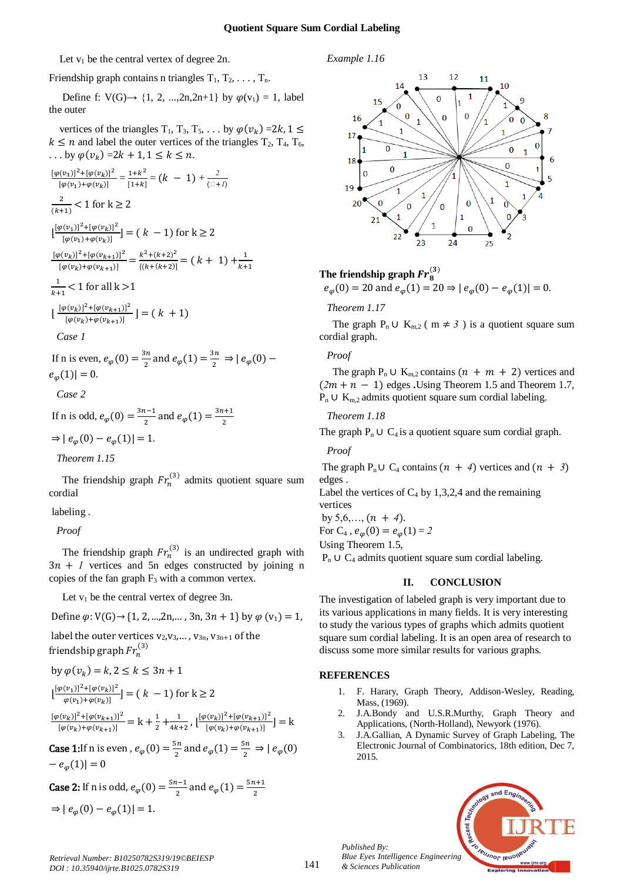*Example 1.16*

Let  $v_1$  be the central vertex of degree 2n.

# Friendship graph contains n triangles  $T_1, T_2, \ldots, T_n$ .

Define f:  $V(G) \rightarrow \{1, 2, ..., 2n, 2n+1\}$  by  $\varphi(v_1) = 1$ , label the outer

vertices of the triangles  $T_1$ ,  $T_3$ ,  $T_5$ , ... by  $\varphi(v_k) = 2$  $k \le n$  and label the outer vertices of the triangles  $T_2$ ,  $T_4$ ,  $T_6$ , ... by  $\varphi(v_k) = 2k + 1, 1 \leq k \leq n$ .

$$
\frac{[\varphi(v_1)]^2 + [\varphi(v_k)]^2}{[\varphi(v_1) + \varphi(v_k)]} = \frac{1 + k^2}{[1 + k]} = (k - 1) + \frac{2}{(\square + l)}
$$
\n
$$
\frac{2}{(k+1)} < 1 \text{ for } k \ge 2
$$
\n
$$
\left[\frac{[\varphi(v_1)]^2 + [\varphi(v_k)]^2}{[\varphi(v_1) + \varphi(v_k)]}\right] = (k - 1) \text{ for } k \ge 2
$$
\n
$$
\frac{[\varphi(v_k)]^2 + [\varphi(v_{k+1})]^2}{[\varphi(v_k) + \varphi(v_{k+1})]} = \frac{k^2 + (k+2)^2}{\{(k + (k+2))\}} = (k + 1) + \frac{1}{k+1}
$$
\n
$$
\frac{1}{k+1} < 1 \text{ for all } k > 1
$$
\n
$$
\left[\frac{[\varphi(v_k)]^2 + [\varphi(v_{k+1})]^2}{[\varphi(v_k) + \varphi(v_{k+1})]^2}\right] = (k + 1)
$$
\n
$$
\text{Case } l
$$

If n is even,  $e_{\varphi}(0) = \frac{3h}{2}$  and  $e_{\varphi}(1) = \frac{3h}{2} \Rightarrow |e_{\varphi}(0)|$  $e_{\varphi}(1)| = 0.$ 

$$
Case\ 2
$$

If n is odd, 
$$
e_{\varphi}(0) = \frac{3n-1}{2}
$$
 and  $e_{\varphi}(1) = \frac{3n+1}{2}$   
\n $\Rightarrow |e_{\varphi}(0) - e_{\varphi}(1)| = 1.$ 

*Theorem 1.15*

The friendship graph  $Fr_n^{(3)}$  admits quotient square sum cordial

#### labeling .

*Proof* 

The friendship graph  $Fr_n^{(3)}$  is an undirected graph with  $3n + 1$  vertices and 5n edges constructed by joining n copies of the fan graph  $F_3$  with a common vertex.

Let  $v_1$  be the central vertex of degree 3n.

Define  $\varphi$ : V(G)  $\rightarrow$  {1, 2, ..., 2n, ..., 3n, 3n + 1} by  $\varphi$  (v<sub>1</sub>) = 1,

label the outer vertices  $v_2,v_3,...$ ,  $v_{3n}$ ,  $v_{3n+1}$  of the friendship graph  $Fr_n^{\left( \right)}$ 

$$
by \varphi(v_k) = k, 2 \le k \le 3n + 1
$$

$$
\lfloor \frac{[\varphi(v_1)]^2 + [\varphi(v_k)]^2}{\varphi(v_1) + \varphi(v_k)} \rfloor = (k - 1) \text{ for } k \ge 2
$$

 $[\varphi(v_k)]^2 + [\varphi(v_{k+1})]^2$  $\frac{[(v_k)]^2 + [\varphi(v_{k+1})]^2}{[\varphi(v_k) + \varphi(v_{k+1})]} = k + \frac{1}{2} + \frac{1}{4k+1}$  $\frac{1}{4k+2}, \left[\frac{[\varphi(v_k)]^2 + [\varphi(v_{k+1})]^2}{[\varphi(v_k) + \varphi(v_{k+1})]} \right]$  $\frac{\left[\sqrt{v_{k}}\right] + \left[\sqrt{v_{k+1}}\right]}{\left[\varphi(v_k) + \varphi(v_{k+1})\right]} = k$ 

**Case 1:** If n is even,  $e_{\varphi}(0) = \frac{3\pi}{2}$  and  $e_{\varphi}(1) = \frac{3\pi}{2} \Rightarrow |e_{\varphi}(0)|$  $-e_{\omega}(1)| = 0$ 

Case 2: If n is odd, 
$$
e_{\varphi}(0) = \frac{5n-1}{2}
$$
 and  $e_{\varphi}(1) = \frac{5n+1}{2}$   
\n⇒  $| e_{\varphi}(0) - e_{\varphi}(1) | = 1$ .

 $\frac{1}{24}$ 

# **The friendship graph**

 $e_{\varphi}(0) = 20$  and  $e_{\varphi}(1) = 20 \Rightarrow |e_{\varphi}(0) - e_{\varphi}(1)| = 0.$ 

*Theorem 1.17*

The graph P<sub>n</sub> ∪ K<sub>m,2</sub> ( m  $\neq$  3) is a quotient square sum cordial graph.

*Proof* 

The graph  $P_n \cup K_{m,2}$  contains  $(n + m + 2)$  vertices and  $(2m + n - 1)$  edges . Using Theorem 1.5 and Theorem 1.7, P<sub>n</sub> ∪ K<sub>m,2</sub> admits quotient square sum cordial labeling.

## *Theorem 1.18*

The graph  $P_n \cup C_4$  is a quotient square sum cordial graph.

*Proof* 

The graph P<sub>n</sub> ∪ C<sub>4</sub> contains  $(n + 4)$  vertices and  $(n + 3)$ edges .

Label the vertices of  $C_4$  by 1,3,2,4 and the remaining vertices

by  $5,6,...,(n + 4)$ .

For C<sub>4</sub>,  $e_{\omega}(0) = e_{\omega}(1) = 2$ 

Using Theorem 1.5,

 $P_n \cup C_4$  admits quotient square sum cordial labeling.

# **II. CONCLUSION**

The investigation of labeled graph is very important due to its various applications in many fields. It is very interesting to study the various types of graphs which admits quotient square sum cordial labeling. It is an open area of research to discuss some more similar results for various graphs.

# **REFERENCES**

*Published By:*

*& Sciences Publication* 

- 1. F. Harary, Graph Theory, Addison-Wesley, Reading, Mass, (1969).
- 2. J.A.Bondy and U.S.R.Murthy, Graph Theory and Applications, (North-Holland), Newyork (1976).
- 3. J.A.Gallian, A Dynamic Survey of Graph Labeling, The Electronic Journal of Combinatorics, 18th edition, Dec 7, 2015.